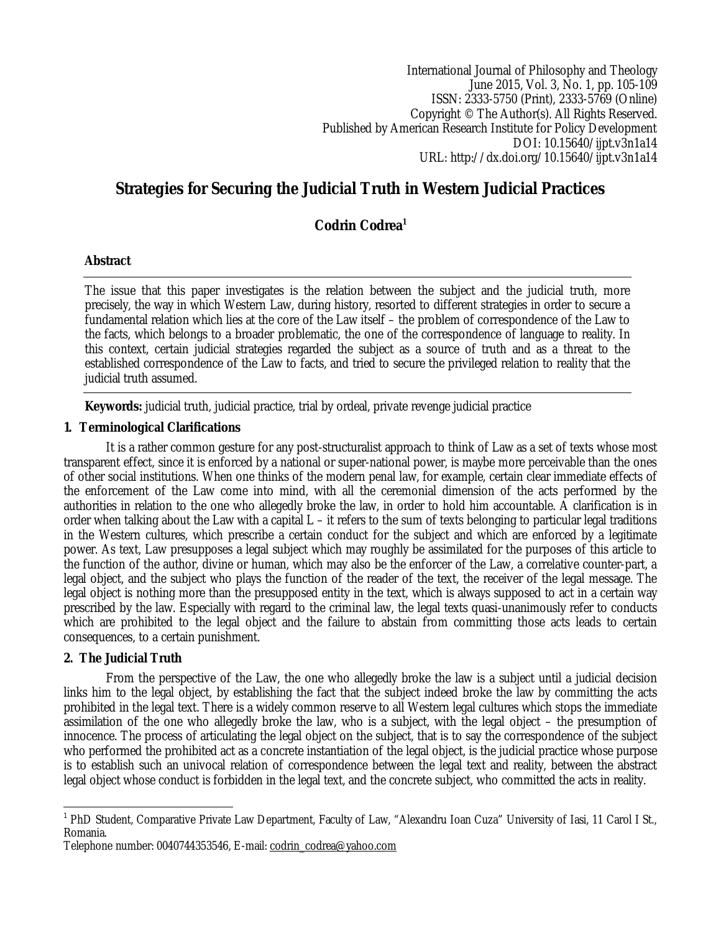International Journal of Philosophy and Theology June 2015, Vol. 3, No. 1, pp. 105-109 ISSN: 2333-5750 (Print), 2333-5769 (Online) Copyright © The Author(s). All Rights Reserved. Published by American Research Institute for Policy Development DOI: 10.15640/ijpt.v3n1a14 URL: http://dx.doi.org/10.15640/ijpt.v3n1a14

# **Strategies for Securing the Judicial Truth in Western Judicial Practices**

# **Codrin Codrea<sup>1</sup>**

# **Abstract**

The issue that this paper investigates is the relation between the subject and the judicial truth, more precisely, the way in which Western Law, during history, resorted to different strategies in order to secure a fundamental relation which lies at the core of the Law itself – the problem of correspondence of the Law to the facts, which belongs to a broader problematic, the one of the correspondence of language to reality. In this context, certain judicial strategies regarded the subject as a source of truth and as a threat to the established correspondence of the Law to facts, and tried to secure the privileged relation to reality that the judicial truth assumed.

**Keywords:** judicial truth, judicial practice, trial by ordeal, private revenge judicial practice

# **1. Terminological Clarifications**

It is a rather common gesture for any post-structuralist approach to think of Law as a set of texts whose most transparent effect, since it is enforced by a national or super-national power, is maybe more perceivable than the ones of other social institutions. When one thinks of the modern penal law, for example, certain clear immediate effects of the enforcement of the Law come into mind, with all the ceremonial dimension of the acts performed by the authorities in relation to the one who allegedly broke the law, in order to hold him accountable. A clarification is in order when talking about the Law with a capital  $L - it$  refers to the sum of texts belonging to particular legal traditions in the Western cultures, which prescribe a certain conduct for the subject and which are enforced by a legitimate power. As text, Law presupposes a legal subject which may roughly be assimilated for the purposes of this article to the function of the author, divine or human, which may also be the enforcer of the Law, a correlative counter-part, a legal object, and the subject who plays the function of the reader of the text, the receiver of the legal message. The legal object is nothing more than the presupposed entity in the text, which is always supposed to act in a certain way prescribed by the law. Especially with regard to the criminal law, the legal texts quasi-unanimously refer to conducts which are prohibited to the legal object and the failure to abstain from committing those acts leads to certain consequences, to a certain punishment.

#### **2. The Judicial Truth**

From the perspective of the Law, the one who allegedly broke the law is a subject until a judicial decision links him to the legal object, by establishing the fact that the subject indeed broke the law by committing the acts prohibited in the legal text. There is a widely common reserve to all Western legal cultures which stops the immediate assimilation of the one who allegedly broke the law, who is a subject, with the legal object – the presumption of innocence. The process of articulating the legal object on the subject, that is to say the correspondence of the subject who performed the prohibited act as a concrete instantiation of the legal object, is the judicial practice whose purpose is to establish such an univocal relation of correspondence between the legal text and reality, between the abstract legal object whose conduct is forbidden in the legal text, and the concrete subject, who committed the acts in reality.

 1 PhD Student, Comparative Private Law Department, Faculty of Law, "Alexandru Ioan Cuza" University of Iasi, 11 Carol I St., Romania.

Telephone number: 0040744353546, E-mail: codrin\_codrea@yahoo.com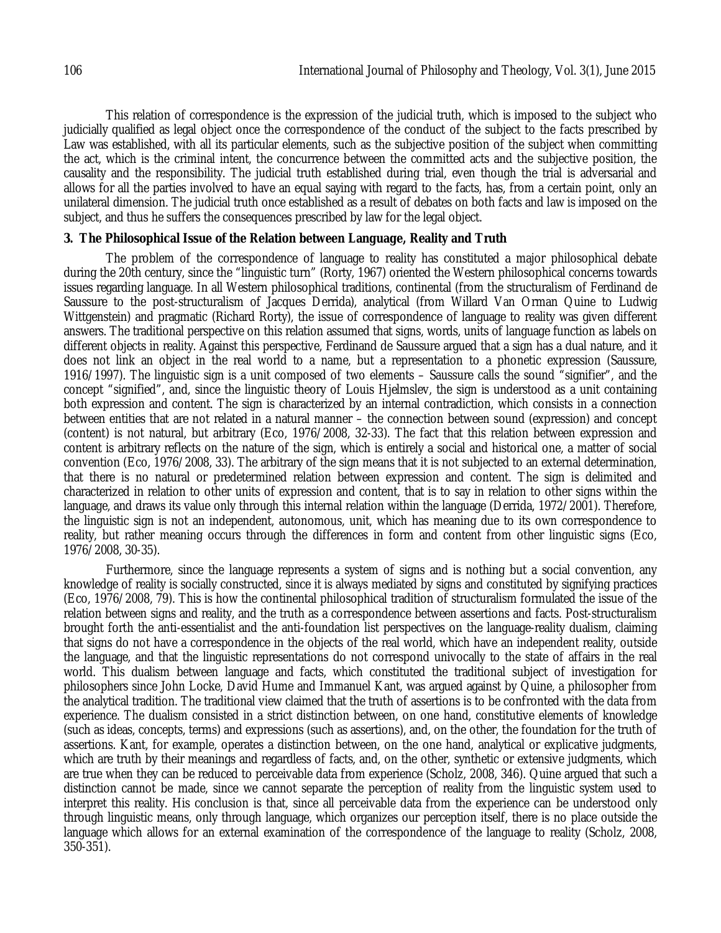This relation of correspondence is the expression of the judicial truth, which is imposed to the subject who judicially qualified as legal object once the correspondence of the conduct of the subject to the facts prescribed by Law was established, with all its particular elements, such as the subjective position of the subject when committing the act, which is the criminal intent, the concurrence between the committed acts and the subjective position, the causality and the responsibility. The judicial truth established during trial, even though the trial is adversarial and allows for all the parties involved to have an equal saying with regard to the facts, has, from a certain point, only an unilateral dimension. The judicial truth once established as a result of debates on both facts and law is imposed on the subject, and thus he suffers the consequences prescribed by law for the legal object.

#### **3. The Philosophical Issue of the Relation between Language, Reality and Truth**

The problem of the correspondence of language to reality has constituted a major philosophical debate during the 20th century, since the "linguistic turn" (Rorty, 1967) oriented the Western philosophical concerns towards issues regarding language. In all Western philosophical traditions, continental (from the structuralism of Ferdinand de Saussure to the post-structuralism of Jacques Derrida), analytical (from Willard Van Orman Quine to Ludwig Wittgenstein) and pragmatic (Richard Rorty), the issue of correspondence of language to reality was given different answers. The traditional perspective on this relation assumed that signs, words, units of language function as labels on different objects in reality. Against this perspective, Ferdinand de Saussure argued that a sign has a dual nature, and it does not link an object in the real world to a name, but a representation to a phonetic expression (Saussure, 1916/1997). The linguistic sign is a unit composed of two elements – Saussure calls the sound "signifier", and the concept "signified", and, since the linguistic theory of Louis Hjelmslev, the sign is understood as a unit containing both expression and content. The sign is characterized by an internal contradiction, which consists in a connection between entities that are not related in a natural manner – the connection between sound (expression) and concept (content) is not natural, but arbitrary (Eco, 1976/2008, 32-33). The fact that this relation between expression and content is arbitrary reflects on the nature of the sign, which is entirely a social and historical one, a matter of social convention (Eco, 1976/2008, 33). The arbitrary of the sign means that it is not subjected to an external determination, that there is no natural or predetermined relation between expression and content. The sign is delimited and characterized in relation to other units of expression and content, that is to say in relation to other signs within the language, and draws its value only through this internal relation within the language (Derrida, 1972/2001). Therefore, the linguistic sign is not an independent, autonomous, unit, which has meaning due to its own correspondence to reality, but rather meaning occurs through the differences in form and content from other linguistic signs (Eco, 1976/2008, 30-35).

Furthermore, since the language represents a system of signs and is nothing but a social convention, any knowledge of reality is socially constructed, since it is always mediated by signs and constituted by signifying practices (Eco, 1976/2008, 79). This is how the continental philosophical tradition of structuralism formulated the issue of the relation between signs and reality, and the truth as a correspondence between assertions and facts. Post-structuralism brought forth the anti-essentialist and the anti-foundation list perspectives on the language-reality dualism, claiming that signs do not have a correspondence in the objects of the real world, which have an independent reality, outside the language, and that the linguistic representations do not correspond univocally to the state of affairs in the real world. This dualism between language and facts, which constituted the traditional subject of investigation for philosophers since John Locke, David Hume and Immanuel Kant, was argued against by Quine, a philosopher from the analytical tradition. The traditional view claimed that the truth of assertions is to be confronted with the data from experience. The dualism consisted in a strict distinction between, on one hand, constitutive elements of knowledge (such as ideas, concepts, terms) and expressions (such as assertions), and, on the other, the foundation for the truth of assertions. Kant, for example, operates a distinction between, on the one hand, analytical or explicative judgments, which are truth by their meanings and regardless of facts, and, on the other, synthetic or extensive judgments, which are true when they can be reduced to perceivable data from experience (Scholz, 2008, 346). Quine argued that such a distinction cannot be made, since we cannot separate the perception of reality from the linguistic system used to interpret this reality. His conclusion is that, since all perceivable data from the experience can be understood only through linguistic means, only through language, which organizes our perception itself, there is no place outside the language which allows for an external examination of the correspondence of the language to reality (Scholz, 2008, 350-351).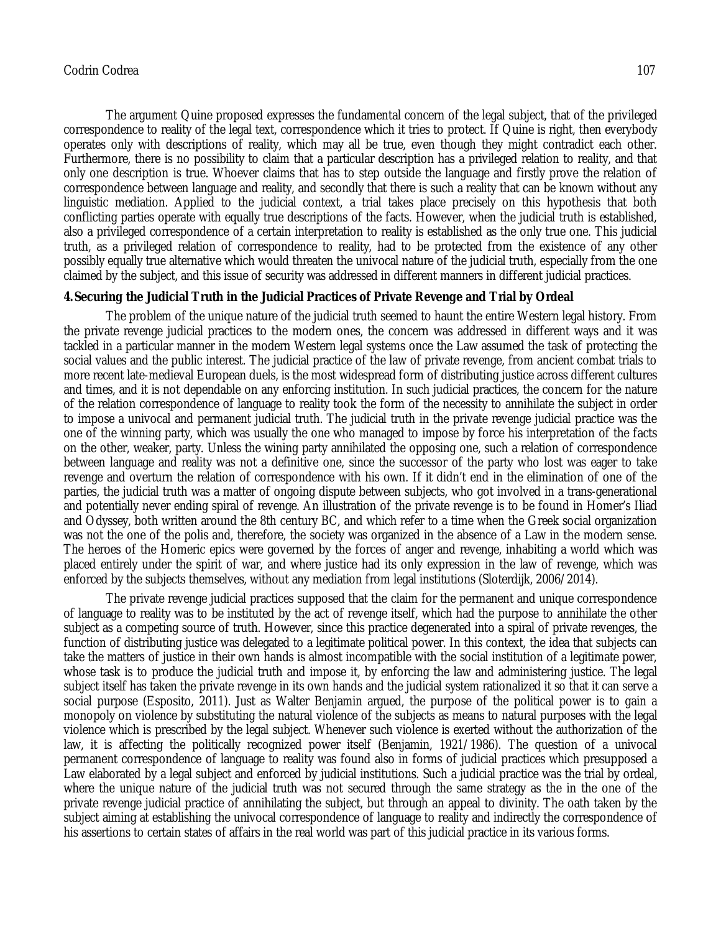The argument Quine proposed expresses the fundamental concern of the legal subject, that of the privileged correspondence to reality of the legal text, correspondence which it tries to protect. If Quine is right, then everybody operates only with descriptions of reality, which may all be true, even though they might contradict each other. Furthermore, there is no possibility to claim that a particular description has a privileged relation to reality, and that only one description is true. Whoever claims that has to step outside the language and firstly prove the relation of correspondence between language and reality, and secondly that there is such a reality that can be known without any linguistic mediation. Applied to the judicial context, a trial takes place precisely on this hypothesis that both conflicting parties operate with equally true descriptions of the facts. However, when the judicial truth is established, also a privileged correspondence of a certain interpretation to reality is established as the only true one. This judicial truth, as a privileged relation of correspondence to reality, had to be protected from the existence of any other possibly equally true alternative which would threaten the univocal nature of the judicial truth, especially from the one claimed by the subject, and this issue of security was addressed in different manners in different judicial practices.

# **4.Securing the Judicial Truth in the Judicial Practices of Private Revenge and Trial by Ordeal**

The problem of the unique nature of the judicial truth seemed to haunt the entire Western legal history. From the private revenge judicial practices to the modern ones, the concern was addressed in different ways and it was tackled in a particular manner in the modern Western legal systems once the Law assumed the task of protecting the social values and the public interest. The judicial practice of the law of private revenge, from ancient combat trials to more recent late-medieval European duels, is the most widespread form of distributing justice across different cultures and times, and it is not dependable on any enforcing institution. In such judicial practices, the concern for the nature of the relation correspondence of language to reality took the form of the necessity to annihilate the subject in order to impose a univocal and permanent judicial truth. The judicial truth in the private revenge judicial practice was the one of the winning party, which was usually the one who managed to impose by force his interpretation of the facts on the other, weaker, party. Unless the wining party annihilated the opposing one, such a relation of correspondence between language and reality was not a definitive one, since the successor of the party who lost was eager to take revenge and overturn the relation of correspondence with his own. If it didn't end in the elimination of one of the parties, the judicial truth was a matter of ongoing dispute between subjects, who got involved in a trans-generational and potentially never ending spiral of revenge. An illustration of the private revenge is to be found in Homer's Iliad and Odyssey, both written around the 8th century BC, and which refer to a time when the Greek social organization was not the one of the polis and, therefore, the society was organized in the absence of a Law in the modern sense. The heroes of the Homeric epics were governed by the forces of anger and revenge, inhabiting a world which was placed entirely under the spirit of war, and where justice had its only expression in the law of revenge, which was enforced by the subjects themselves, without any mediation from legal institutions (Sloterdijk, 2006/2014).

The private revenge judicial practices supposed that the claim for the permanent and unique correspondence of language to reality was to be instituted by the act of revenge itself, which had the purpose to annihilate the other subject as a competing source of truth. However, since this practice degenerated into a spiral of private revenges, the function of distributing justice was delegated to a legitimate political power. In this context, the idea that subjects can take the matters of justice in their own hands is almost incompatible with the social institution of a legitimate power, whose task is to produce the judicial truth and impose it, by enforcing the law and administering justice. The legal subject itself has taken the private revenge in its own hands and the judicial system rationalized it so that it can serve a social purpose (Esposito, 2011). Just as Walter Benjamin argued, the purpose of the political power is to gain a monopoly on violence by substituting the natural violence of the subjects as means to natural purposes with the legal violence which is prescribed by the legal subject. Whenever such violence is exerted without the authorization of the law, it is affecting the politically recognized power itself (Benjamin, 1921/1986). The question of a univocal permanent correspondence of language to reality was found also in forms of judicial practices which presupposed a Law elaborated by a legal subject and enforced by judicial institutions. Such a judicial practice was the trial by ordeal, where the unique nature of the judicial truth was not secured through the same strategy as the in the one of the private revenge judicial practice of annihilating the subject, but through an appeal to divinity. The oath taken by the subject aiming at establishing the univocal correspondence of language to reality and indirectly the correspondence of his assertions to certain states of affairs in the real world was part of this judicial practice in its various forms.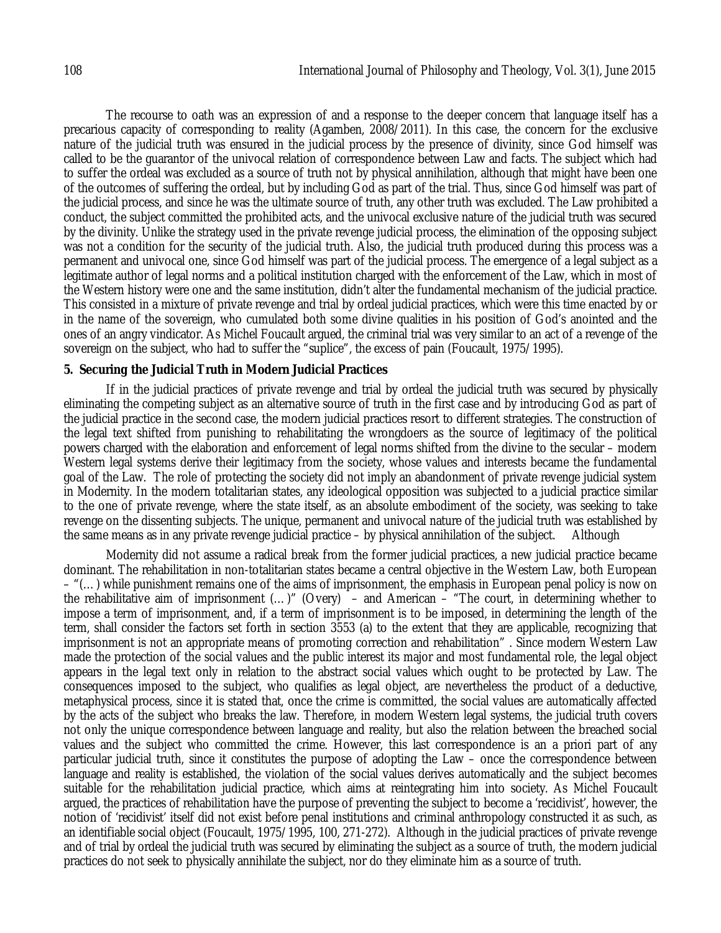The recourse to oath was an expression of and a response to the deeper concern that language itself has a precarious capacity of corresponding to reality (Agamben, 2008/2011). In this case, the concern for the exclusive nature of the judicial truth was ensured in the judicial process by the presence of divinity, since God himself was called to be the guarantor of the univocal relation of correspondence between Law and facts. The subject which had to suffer the ordeal was excluded as a source of truth not by physical annihilation, although that might have been one of the outcomes of suffering the ordeal, but by including God as part of the trial. Thus, since God himself was part of the judicial process, and since he was the ultimate source of truth, any other truth was excluded. The Law prohibited a conduct, the subject committed the prohibited acts, and the univocal exclusive nature of the judicial truth was secured by the divinity. Unlike the strategy used in the private revenge judicial process, the elimination of the opposing subject was not a condition for the security of the judicial truth. Also, the judicial truth produced during this process was a permanent and univocal one, since God himself was part of the judicial process. The emergence of a legal subject as a legitimate author of legal norms and a political institution charged with the enforcement of the Law, which in most of the Western history were one and the same institution, didn't alter the fundamental mechanism of the judicial practice. This consisted in a mixture of private revenge and trial by ordeal judicial practices, which were this time enacted by or in the name of the sovereign, who cumulated both some divine qualities in his position of God's anointed and the ones of an angry vindicator. As Michel Foucault argued, the criminal trial was very similar to an act of a revenge of the sovereign on the subject, who had to suffer the "suplice", the excess of pain (Foucault, 1975/1995).

#### **5. Securing the Judicial Truth in Modern Judicial Practices**

If in the judicial practices of private revenge and trial by ordeal the judicial truth was secured by physically eliminating the competing subject as an alternative source of truth in the first case and by introducing God as part of the judicial practice in the second case, the modern judicial practices resort to different strategies. The construction of the legal text shifted from punishing to rehabilitating the wrongdoers as the source of legitimacy of the political powers charged with the elaboration and enforcement of legal norms shifted from the divine to the secular – modern Western legal systems derive their legitimacy from the society, whose values and interests became the fundamental goal of the Law. The role of protecting the society did not imply an abandonment of private revenge judicial system in Modernity. In the modern totalitarian states, any ideological opposition was subjected to a judicial practice similar to the one of private revenge, where the state itself, as an absolute embodiment of the society, was seeking to take revenge on the dissenting subjects. The unique, permanent and univocal nature of the judicial truth was established by the same means as in any private revenge judicial practice – by physical annihilation of the subject. Although

Modernity did not assume a radical break from the former judicial practices, a new judicial practice became dominant. The rehabilitation in non-totalitarian states became a central objective in the Western Law, both European – "(…) while punishment remains one of the aims of imprisonment, the emphasis in European penal policy is now on the rehabilitative aim of imprisonment (…)" (Overy) – and American – "The court, in determining whether to impose a term of imprisonment, and, if a term of imprisonment is to be imposed, in determining the length of the term, shall consider the factors set forth in section 3553 (a) to the extent that they are applicable, recognizing that imprisonment is not an appropriate means of promoting correction and rehabilitation" . Since modern Western Law made the protection of the social values and the public interest its major and most fundamental role, the legal object appears in the legal text only in relation to the abstract social values which ought to be protected by Law. The consequences imposed to the subject, who qualifies as legal object, are nevertheless the product of a deductive, metaphysical process, since it is stated that, once the crime is committed, the social values are automatically affected by the acts of the subject who breaks the law. Therefore, in modern Western legal systems, the judicial truth covers not only the unique correspondence between language and reality, but also the relation between the breached social values and the subject who committed the crime. However, this last correspondence is an a priori part of any particular judicial truth, since it constitutes the purpose of adopting the Law – once the correspondence between language and reality is established, the violation of the social values derives automatically and the subject becomes suitable for the rehabilitation judicial practice, which aims at reintegrating him into society. As Michel Foucault argued, the practices of rehabilitation have the purpose of preventing the subject to become a 'recidivist', however, the notion of 'recidivist' itself did not exist before penal institutions and criminal anthropology constructed it as such, as an identifiable social object (Foucault, 1975/1995, 100, 271-272). Although in the judicial practices of private revenge and of trial by ordeal the judicial truth was secured by eliminating the subject as a source of truth, the modern judicial practices do not seek to physically annihilate the subject, nor do they eliminate him as a source of truth.